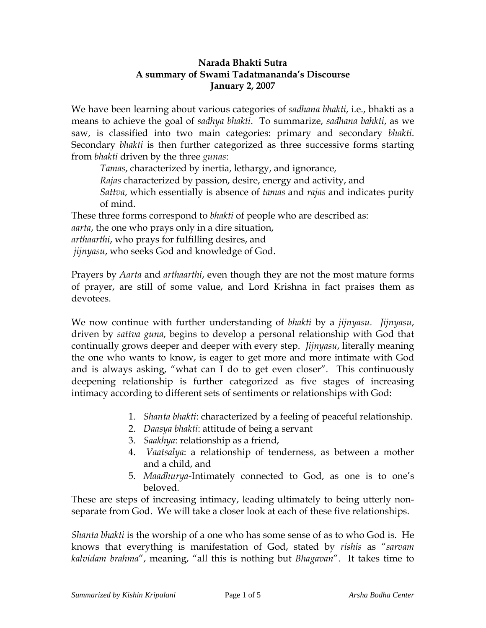## **Narada Bhakti Sutra A summary of Swami Tadatmananda's Discourse January 2, 2007**

We have been learning about various categories of *sadhana bhakti*, i.e., bhakti as a means to achieve the goal of *sadhya bhakti*. To summarize, *sadhana bahkti*, as we saw, is classified into two main categories: primary and secondary *bhakti*. Secondary *bhakti* is then further categorized as three successive forms starting from *bhakti* driven by the three *gunas*:

*Tamas*, characterized by inertia, lethargy, and ignorance,

*Rajas* characterized by passion, desire, energy and activity, and

*Sattva*, which essentially is absence of *tamas* and *rajas* and indicates purity of mind.

These three forms correspond to *bhakti* of people who are described as:

*aarta*, the one who prays only in a dire situation,

*arthaarthi*, who prays for fulfilling desires, and

*jijnyasu*, who seeks God and knowledge of God.

Prayers by *Aarta* and *arthaarthi*, even though they are not the most mature forms of prayer, are still of some value, and Lord Krishna in fact praises them as devotees.

We now continue with further understanding of *bhakti* by a *jijnyasu*. *Jijnyasu*, driven by *sattva guna*, begins to develop a personal relationship with God that continually grows deeper and deeper with every step. *Jijnyasu*, literally meaning the one who wants to know, is eager to get more and more intimate with God and is always asking, "what can I do to get even closer". This continuously deepening relationship is further categorized as five stages of increasing intimacy according to different sets of sentiments or relationships with God:

- 1. *Shanta bhakti*: characterized by a feeling of peaceful relationship.
- 2. *Daasya bhakti*: attitude of being a servant
- 3. *Saakhya*: relationship as a friend,
- 4. *Vaatsalya*: a relationship of tenderness, as between a mother and a child, and
- 5. *Maadhurya*-Intimately connected to God, as one is to one's beloved.

These are steps of increasing intimacy, leading ultimately to being utterly nonseparate from God. We will take a closer look at each of these five relationships.

*Shanta bhakti* is the worship of a one who has some sense of as to who God is. He knows that everything is manifestation of God, stated by *rishis* as "*sarvam kalvidam brahma*", meaning, "all this is nothing but *Bhagavan*". It takes time to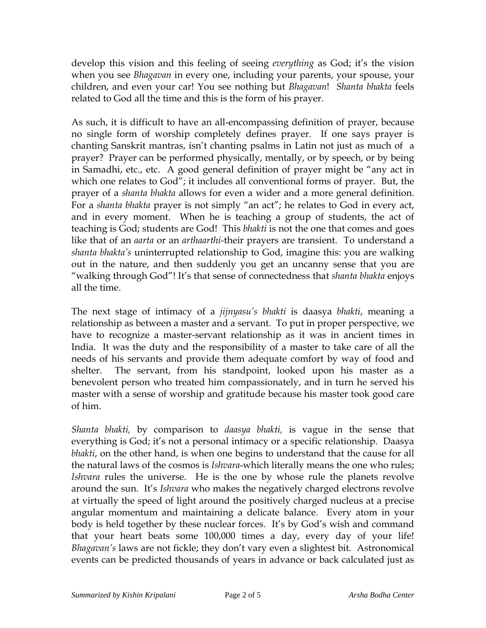develop this vision and this feeling of seeing *everything* as God; it's the vision when you see *Bhagavan* in every one, including your parents, your spouse, your children, and even your car! You see nothing but *Bhagavan*! *Shanta bhakta* feels related to God all the time and this is the form of his prayer.

As such, it is difficult to have an all-encompassing definition of prayer, because no single form of worship completely defines prayer. If one says prayer is chanting Sanskrit mantras, isn't chanting psalms in Latin not just as much of a prayer? Prayer can be performed physically, mentally, or by speech, or by being in Samadhi, etc., etc. A good general definition of prayer might be "any act in which one relates to God"; it includes all conventional forms of prayer. But, the prayer of a *shanta bhakta* allows for even a wider and a more general definition. For a *shanta bhakta* prayer is not simply "an act"; he relates to God in every act, and in every moment. When he is teaching a group of students, the act of teaching is God; students are God! This *bhakti* is not the one that comes and goes like that of an *aarta* or an *arthaarthi*-their prayers are transient. To understand a *shanta bhakta's* uninterrupted relationship to God, imagine this: you are walking out in the nature, and then suddenly you get an uncanny sense that you are "walking through God"! It's that sense of connectedness that *shanta bhakta* enjoys all the time.

The next stage of intimacy of a *jijnyasu's bhakti* is daasya *bhakti*, meaning a relationship as between a master and a servant. To put in proper perspective, we have to recognize a master-servant relationship as it was in ancient times in India. It was the duty and the responsibility of a master to take care of all the needs of his servants and provide them adequate comfort by way of food and shelter. The servant, from his standpoint, looked upon his master as a benevolent person who treated him compassionately, and in turn he served his master with a sense of worship and gratitude because his master took good care of him.

*Shanta bhakti,* by comparison to *daasya bhakti,* is vague in the sense that everything is God; it's not a personal intimacy or a specific relationship. Daasya *bhakti*, on the other hand, is when one begins to understand that the cause for all the natural laws of the cosmos is *Ishvara*-which literally means the one who rules; *Ishvara* rules the universe. He is the one by whose rule the planets revolve around the sun. It's *Ishvara* who makes the negatively charged electrons revolve at virtually the speed of light around the positively charged nucleus at a precise angular momentum and maintaining a delicate balance. Every atom in your body is held together by these nuclear forces. It's by God's wish and command that your heart beats some 100,000 times a day, every day of your life! *Bhagavan's* laws are not fickle; they don't vary even a slightest bit. Astronomical events can be predicted thousands of years in advance or back calculated just as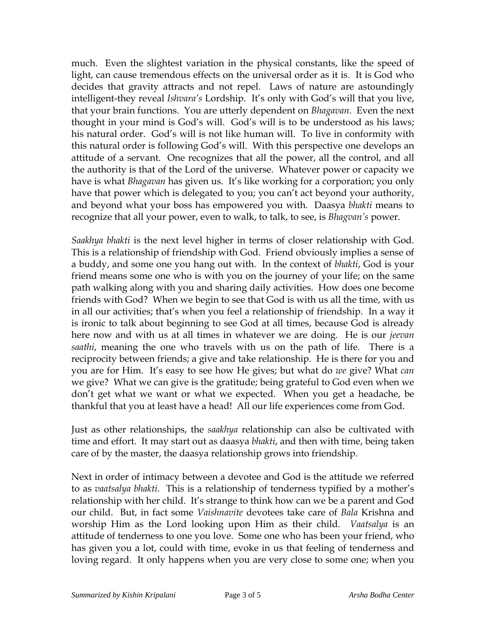much. Even the slightest variation in the physical constants, like the speed of light, can cause tremendous effects on the universal order as it is. It is God who decides that gravity attracts and not repel. Laws of nature are astoundingly intelligent-they reveal *Ishvara's* Lordship. It's only with God's will that you live, that your brain functions. You are utterly dependent on *Bhagavan*. Even the next thought in your mind is God's will. God's will is to be understood as his laws; his natural order. God's will is not like human will. To live in conformity with this natural order is following God's will. With this perspective one develops an attitude of a servant. One recognizes that all the power, all the control, and all the authority is that of the Lord of the universe. Whatever power or capacity we have is what *Bhagavan* has given us. It's like working for a corporation; you only have that power which is delegated to you; you can't act beyond your authority, and beyond what your boss has empowered you with. Daasya *bhakti* means to recognize that all your power, even to walk, to talk, to see, is *Bhagvan's* power.

*Saakhya bhakti* is the next level higher in terms of closer relationship with God. This is a relationship of friendship with God. Friend obviously implies a sense of a buddy, and some one you hang out with. In the context of *bhakti*, God is your friend means some one who is with you on the journey of your life; on the same path walking along with you and sharing daily activities. How does one become friends with God? When we begin to see that God is with us all the time, with us in all our activities; that's when you feel a relationship of friendship. In a way it is ironic to talk about beginning to see God at all times, because God is already here now and with us at all times in whatever we are doing. He is our *jeevan saathi*, meaning the one who travels with us on the path of life. There is a reciprocity between friends; a give and take relationship. He is there for you and you are for Him. It's easy to see how He gives; but what do *we* give? What *can* we give? What we can give is the gratitude; being grateful to God even when we don't get what we want or what we expected. When you get a headache, be thankful that you at least have a head! All our life experiences come from God.

Just as other relationships, the *saakhya* relationship can also be cultivated with time and effort. It may start out as daasya *bhakti*, and then with time, being taken care of by the master, the daasya relationship grows into friendship.

Next in order of intimacy between a devotee and God is the attitude we referred to as *vaatsalya bhakti*. This is a relationship of tenderness typified by a mother's relationship with her child. It's strange to think how can we be a parent and God our child. But, in fact some *Vaishnavite* devotees take care of *Bala* Krishna and worship Him as the Lord looking upon Him as their child. *Vaatsalya* is an attitude of tenderness to one you love. Some one who has been your friend, who has given you a lot, could with time, evoke in us that feeling of tenderness and loving regard. It only happens when you are very close to some one; when you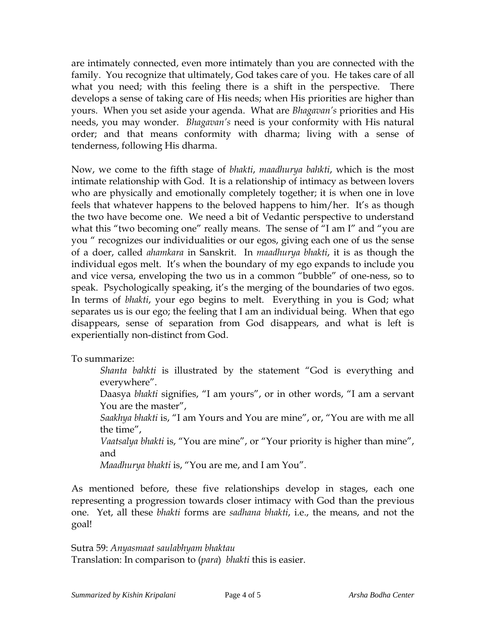are intimately connected, even more intimately than you are connected with the family. You recognize that ultimately, God takes care of you. He takes care of all what you need; with this feeling there is a shift in the perspective. There develops a sense of taking care of His needs; when His priorities are higher than yours. When you set aside your agenda. What are *Bhagavan's* priorities and His needs, you may wonder. *Bhagavan's* need is your conformity with His natural order; and that means conformity with dharma; living with a sense of tenderness, following His dharma.

Now, we come to the fifth stage of *bhakti*, *maadhurya bahkti*, which is the most intimate relationship with God. It is a relationship of intimacy as between lovers who are physically and emotionally completely together; it is when one in love feels that whatever happens to the beloved happens to him/her. It's as though the two have become one. We need a bit of Vedantic perspective to understand what this "two becoming one" really means. The sense of "I am I" and "you are you " recognizes our individualities or our egos, giving each one of us the sense of a doer, called *ahamkara* in Sanskrit. In *maadhurya bhakti*, it is as though the individual egos melt. It's when the boundary of my ego expands to include you and vice versa, enveloping the two us in a common "bubble" of one-ness, so to speak. Psychologically speaking, it's the merging of the boundaries of two egos. In terms of *bhakti*, your ego begins to melt. Everything in you is God; what separates us is our ego; the feeling that I am an individual being. When that ego disappears, sense of separation from God disappears, and what is left is experientially non-distinct from God.

To summarize:

*Shanta bahkti* is illustrated by the statement "God is everything and everywhere". Daasya *bhakti* signifies, "I am yours", or in other words, "I am a servant

You are the master", *Saakhya bhakti* is, "I am Yours and You are mine", or, "You are with me all

the time",

*Vaatsalya bhakti* is, "You are mine", or "Your priority is higher than mine", and

*Maadhurya bhakti* is, "You are me, and I am You".

As mentioned before, these five relationships develop in stages, each one representing a progression towards closer intimacy with God than the previous one. Yet, all these *bhakti* forms are *sadhana bhakti*, i.e., the means, and not the goal!

Sutra 59: *Anyasmaat saulabhyam bhaktau* Translation: In comparison to (*para*) *bhakti* this is easier.